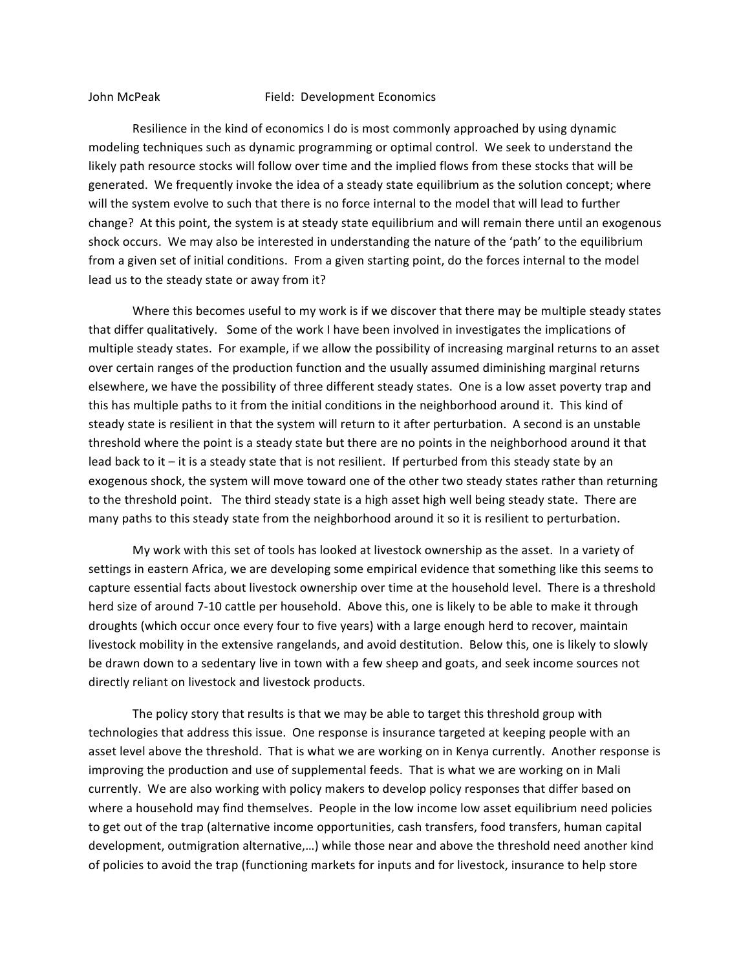## John McPeak Field: Development Economics

Resilience in the kind of economics I do is most commonly approached by using dynamic modeling techniques such as dynamic programming or optimal control. We seek to understand the likely path resource stocks will follow over time and the implied flows from these stocks that will be generated. We frequently invoke the idea of a steady state equilibrium as the solution concept; where will the system evolve to such that there is no force internal to the model that will lead to further change? At this point, the system is at steady state equilibrium and will remain there until an exogenous shock occurs. We may also be interested in understanding the nature of the 'path' to the equilibrium from a given set of initial conditions. From a given starting point, do the forces internal to the model lead us to the steady state or away from it?

Where this becomes useful to my work is if we discover that there may be multiple steady states that differ qualitatively. Some of the work I have been involved in investigates the implications of multiple steady states. For example, if we allow the possibility of increasing marginal returns to an asset over certain ranges of the production function and the usually assumed diminishing marginal returns elsewhere, we have the possibility of three different steady states. One is a low asset poverty trap and this has multiple paths to it from the initial conditions in the neighborhood around it. This kind of steady state is resilient in that the system will return to it after perturbation. A second is an unstable threshold where the point is a steady state but there are no points in the neighborhood around it that lead back to it  $-$  it is a steady state that is not resilient. If perturbed from this steady state by an exogenous shock, the system will move toward one of the other two steady states rather than returning to the threshold point. The third steady state is a high asset high well being steady state. There are many paths to this steady state from the neighborhood around it so it is resilient to perturbation.

My work with this set of tools has looked at livestock ownership as the asset. In a variety of settings in eastern Africa, we are developing some empirical evidence that something like this seems to capture essential facts about livestock ownership over time at the household level. There is a threshold herd size of around 7-10 cattle per household. Above this, one is likely to be able to make it through droughts (which occur once every four to five years) with a large enough herd to recover, maintain livestock mobility in the extensive rangelands, and avoid destitution. Below this, one is likely to slowly be drawn down to a sedentary live in town with a few sheep and goats, and seek income sources not directly reliant on livestock and livestock products.

The policy story that results is that we may be able to target this threshold group with technologies that address this issue. One response is insurance targeted at keeping people with an asset level above the threshold. That is what we are working on in Kenya currently. Another response is improving the production and use of supplemental feeds. That is what we are working on in Mali currently. We are also working with policy makers to develop policy responses that differ based on where a household may find themselves. People in the low income low asset equilibrium need policies to get out of the trap (alternative income opportunities, cash transfers, food transfers, human capital development, outmigration alternative,...) while those near and above the threshold need another kind of policies to avoid the trap (functioning markets for inputs and for livestock, insurance to help store